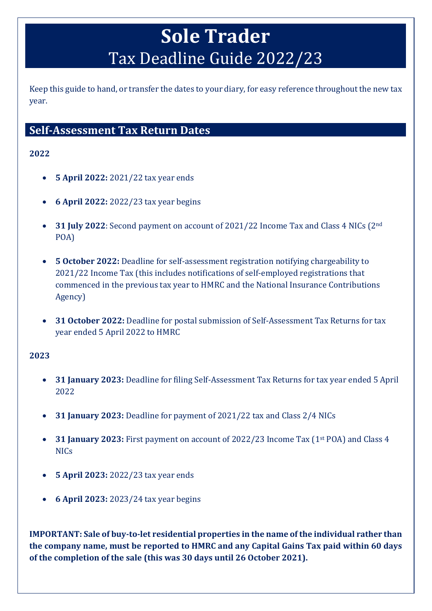# **Sole Trader** Tax Deadline Guide 2022/23

Keep this guide to hand, or transfer the dates to your diary, for easy reference throughout the new tax year.

### **Self-Assessment Tax Return Dates**

#### **2022**

- **5 April 2022:** 2021/22 tax year ends
- **6 April 2022:** 2022/23 tax year begins
- **31 July 2022**: Second payment on account of 2021/22 Income Tax and Class 4 NICs (2nd POA)
- **5 October 2022:** Deadline for self-assessment registration notifying chargeability to 2021/22 Income Tax (this includes notifications of self-employed registrations that commenced in the previous tax year to HMRC and the National Insurance Contributions Agency)
- **31 October 2022:** Deadline for postal submission of Self-Assessment Tax Returns for tax year ended 5 April 2022 to HMRC

#### **2023**

- **31 January 2023:** Deadline for filing Self-Assessment Tax Returns for tax year ended 5 April 2022
- **31 January 2023:** Deadline for payment of 2021/22 tax and Class 2/4 NICs
- **31 January 2023:** First payment on account of 2022/23 Income Tax (1st POA) and Class 4 NICs
- **5 April 2023:** 2022/23 tax year ends
- **6 April 2023:** 2023/24 tax year begins

**IMPORTANT: Sale of buy-to-let residential properties in the name of the individual rather than the company name, must be reported to HMRC and any Capital Gains Tax paid within 60 days of the completion of the sale (this was 30 days until 26 October 2021).**